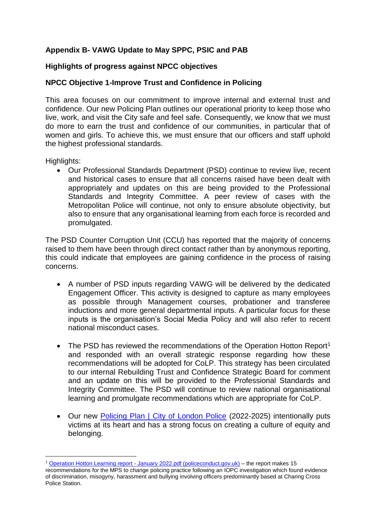## **Appendix B- VAWG Update to May SPPC, PSIC and PAB**

## **Highlights of progress against NPCC objectives**

## **NPCC Objective 1-Improve Trust and Confidence in Policing**

This area focuses on our commitment to improve internal and external trust and confidence. Our new Policing Plan outlines our operational priority to keep those who live, work, and visit the City safe and feel safe. Consequently, we know that we must do more to earn the trust and confidence of our communities, in particular that of women and girls. To achieve this, we must ensure that our officers and staff uphold the highest professional standards.

Highlights:

**.** 

• Our Professional Standards Department (PSD) continue to review live, recent and historical cases to ensure that all concerns raised have been dealt with appropriately and updates on this are being provided to the Professional Standards and Integrity Committee. A peer review of cases with the Metropolitan Police will continue, not only to ensure absolute objectivity, but also to ensure that any organisational learning from each force is recorded and promulgated.

The PSD Counter Corruption Unit (CCU) has reported that the majority of concerns raised to them have been through direct contact rather than by anonymous reporting, this could indicate that employees are gaining confidence in the process of raising concerns.

- A number of PSD inputs regarding VAWG will be delivered by the dedicated Engagement Officer. This activity is designed to capture as many employees as possible through Management courses, probationer and transferee inductions and more general departmental inputs. A particular focus for these inputs is the organisation's Social Media Policy and will also refer to recent national misconduct cases.
- The PSD has reviewed the recommendations of the Operation Hotton Report<sup>1</sup> and responded with an overall strategic response regarding how these recommendations will be adopted for CoLP. This strategy has been circulated to our internal Rebuilding Trust and Confidence Strategic Board for comment and an update on this will be provided to the Professional Standards and Integrity Committee. The PSD will continue to review national organisational learning and promulgate recommendations which are appropriate for CoLP.
- Our new [Policing Plan | City of London Police](https://gbr01.safelinks.protection.outlook.com/?url=https%3A%2F%2Fwww.cityoflondon.police.uk%2Fpolice-forces%2Fcity-of-london-police%2Fareas%2Fcity-of-london%2Fabout-us%2Fabout-us%2Fpolicing-plan%2F&data=04%7C01%7CCarly.Humphreys%40cityoflondon.police.uk%7C733172f7929944bee63808da12fc1585%7C9386af3d781b4bad85597170be76bad9%7C0%7C0%7C637843171142519940%7CUnknown%7CTWFpbGZsb3d8eyJWIjoiMC4wLjAwMDAiLCJQIjoiV2luMzIiLCJBTiI6Ik1haWwiLCJXVCI6Mn0%3D%7C3000&sdata=koZ2%2Fj2SuPpmwbWFzGnCmDqMvTCbhFiBloUtLwQaV68%3D&reserved=0) (2022-2025) intentionally puts victims at its heart and has a strong focus on creating a culture of equity and belonging.

 $1$  Operation Hotton Learning report - [January 2022.pdf \(policeconduct.gov.uk\)](https://www.policeconduct.gov.uk/sites/default/files/Operation%20Hotton%20Learning%20report%20-%20January%202022.pdf) – the report makes 15 recommendations for the MPS to change policing practice following an IOPC investigation which found evidence of discrimination, misogyny, harassment and bullying involving officers predominantly based at Charing Cross Police Station.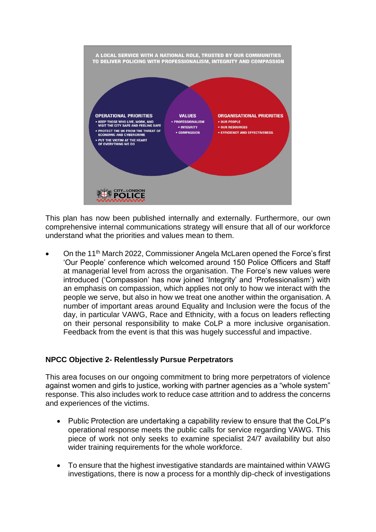

This plan has now been published internally and externally. Furthermore, our own comprehensive internal communications strategy will ensure that all of our workforce understand what the priorities and values mean to them.

• On the 11th March 2022, Commissioner Angela McLaren opened the Force's first 'Our People' conference which welcomed around 150 Police Officers and Staff at managerial level from across the organisation. The Force's new values were introduced ('Compassion' has now joined 'Integrity' and 'Professionalism') with an emphasis on compassion, which applies not only to how we interact with the people we serve, but also in how we treat one another within the organisation. A number of important areas around Equality and Inclusion were the focus of the day, in particular VAWG, Race and Ethnicity, with a focus on leaders reflecting on their personal responsibility to make CoLP a more inclusive organisation. Feedback from the event is that this was hugely successful and impactive.

## **NPCC Objective 2- Relentlessly Pursue Perpetrators**

This area focuses on our ongoing commitment to bring more perpetrators of violence against women and girls to justice, working with partner agencies as a "whole system" response. This also includes work to reduce case attrition and to address the concerns and experiences of the victims.

- Public Protection are undertaking a capability review to ensure that the CoLP's operational response meets the public calls for service regarding VAWG. This piece of work not only seeks to examine specialist 24/7 availability but also wider training requirements for the whole workforce.
- To ensure that the highest investigative standards are maintained within VAWG investigations, there is now a process for a monthly dip-check of investigations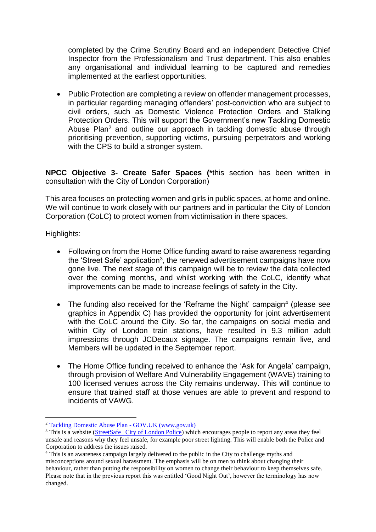completed by the Crime Scrutiny Board and an independent Detective Chief Inspector from the Professionalism and Trust department. This also enables any organisational and individual learning to be captured and remedies implemented at the earliest opportunities.

• Public Protection are completing a review on offender management processes, in particular regarding managing offenders' post-conviction who are subject to civil orders, such as Domestic Violence Protection Orders and Stalking Protection Orders. This will support the Government's new Tackling Domestic Abuse Plan<sup>2</sup> and outline our approach in tackling domestic abuse through prioritising prevention, supporting victims, pursuing perpetrators and working with the CPS to build a stronger system.

**NPCC Objective 3- Create Safer Spaces (\***this section has been written in consultation with the City of London Corporation)

This area focuses on protecting women and girls in public spaces, at home and online. We will continue to work closely with our partners and in particular the City of London Corporation (CoLC) to protect women from victimisation in there spaces.

Highlights:

- Following on from the Home Office funding award to raise awareness regarding the 'Street Safe' application<sup>3</sup>, the renewed advertisement campaigns have now gone live. The next stage of this campaign will be to review the data collected over the coming months, and whilst working with the CoLC, identify what improvements can be made to increase feelings of safety in the City.
- The funding also received for the 'Reframe the Night' campaign<sup>4</sup> (please see graphics in Appendix C) has provided the opportunity for joint advertisement with the CoLC around the City. So far, the campaigns on social media and within City of London train stations, have resulted in 9.3 million adult impressions through JCDecaux signage. The campaigns remain live, and Members will be updated in the September report.
- The Home Office funding received to enhance the 'Ask for Angela' campaign, through provision of Welfare And Vulnerability Engagement (WAVE) training to 100 licensed venues across the City remains underway. This will continue to ensure that trained staff at those venues are able to prevent and respond to incidents of VAWG.

 $\overline{a}$ <sup>2</sup> [Tackling Domestic Abuse Plan -](https://www.gov.uk/government/publications/tackling-domestic-abuse-plan) GOV.UK (www.gov.uk)

<sup>&</sup>lt;sup>3</sup> This is a website [\(StreetSafe | City of London Police\)](https://www.cityoflondon.police.uk/notices/street-safe/street-safe/) which encourages people to report any areas they feel unsafe and reasons why they feel unsafe, for example poor street lighting. This will enable both the Police and Corporation to address the issues raised.

<sup>4</sup> This is an awareness campaign largely delivered to the public in the City to challenge myths and misconceptions around sexual harassment. The emphasis will be on men to think about changing their behaviour, rather than putting the responsibility on women to change their behaviour to keep themselves safe. Please note that in the previous report this was entitled 'Good Night Out', however the terminology has now changed.